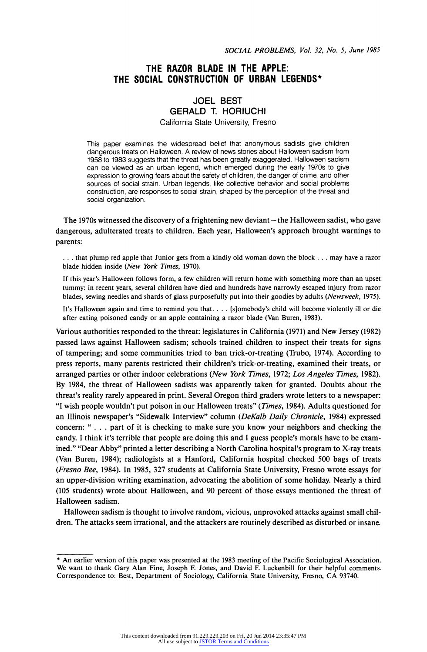# **THE RAZOR BLADE IN THE APPLE: THE SOCIAL CONSTRUCTION OF URBAN LEGENDS\***

# **JOEL BEST GERALD T. HORIUCHI**

**California State University, Fresno** 

**This paper examines the widespread belief that anonymous sadists give children dangerous treats on Halloween. A review of news stories about Halloween sadism from 1958 to 1983 suggests that the threat has been greatly exaggerated. Halloween sadism can be viewed as an urban legend, which emerged during the early 1970s to give expression to growing fears about the safety of children, the danger of crime, and other sources of social strain. Urban legends, like collective behavior and social problems construction, are responses to social strain, shaped by the perception of the threat and social organization.** 

The 1970s witnessed the discovery of a frightening new deviant - the Halloween sadist, who gave **dangerous, adulterated treats to children. Each year, Halloween's approach brought warnings to parents:** 

**... that plump red apple that Junior gets from a kindly old woman down the block ... may have a razor blade hidden inside (New York Times, 1970).** 

**If this year's Halloween follows form, a few children will return home with something more than an upset tummy: in recent years, several children have died and hundreds have narrowly escaped injury from razor blades, sewing needles and shards of glass purposefully put into their goodies by adults (Newsweek, 1975).** 

**It's Halloween again and time to remind you that. ... [s]omebody's child will become violently ill or die after eating poisoned candy or an apple containing a razor blade (Van Buren, 1983).** 

**Various authorities responded to the threat: legislatures in California (1971) and New Jersey (1982) passed laws against Halloween sadism; schools trained children to inspect their treats for signs of tampering; and some communities tried to ban trick-or-treating (Trubo, 1974). According to press reports, many parents restricted their children's trick-or-treating, examined their treats, or arranged parties or other indoor celebrations (New York Times, 1972; Los Angeles Times, 1982). By 1984, the threat of Halloween sadists was apparently taken for granted. Doubts about the threat's reality rarely appeared in print. Several Oregon third graders wrote letters to a newspaper: "I wish people wouldn't put poison in our Halloween treats" (Times, 1984). Adults questioned for an Illinois newspaper's "Sidewalk Interview" column (DeKalb Daily Chronicle, 1984) expressed concern: " . . . part of it is checking to make sure you know your neighbors and checking the candy. I think it's terrible that people are doing this and I guess people's morals have to be examined." "Dear Abby" printed a letter describing a North Carolina hospital's program to X-ray treats (Van Buren, 1984); radiologists at a Hanford, California hospital checked 500 bags of treats (Fresno Bee, 1984). In 1985, 327 students at California State University, Fresno wrote essays for an upper-division writing examination, advocating the abolition of some holiday. Nearly a third (105 students) wrote about Halloween, and 90 percent of those essays mentioned the threat of Halloween sadism.** 

**Halloween sadism is thought to involve random, vicious, unprovoked attacks against small children. The attacks seem irrational, and the attackers are routinely described as disturbed or insane.** 

**<sup>\*</sup> An earlier version of this paper was presented at the 1983 meeting of the Pacific Sociological Association. We want to thank Gary Alan Fine, Joseph F. Jones, and David F. Luckenbill for their helpful comments. Correspondence to: Best, Department of Sociology, California State University, Fresno, CA 93740.**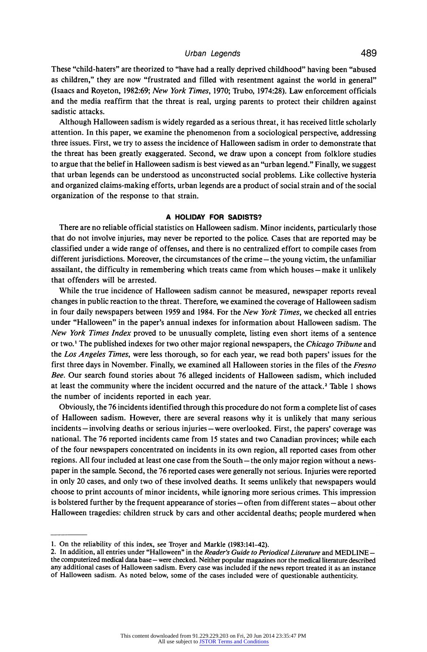**These "child-haters" are theorized to "have had a really deprived childhood" having been "abused as children," they are now "frustrated and filled with resentment against the world in general" (Isaacs and Royeton, 1982:69; New York Times, 1970; Trubo, 1974:28). Law enforcement officials and the media reaffirm that the threat is real, urging parents to protect their children against sadistic attacks.** 

**Although Halloween sadism is widely regarded as a serious threat, it has received little scholarly attention. In this paper, we examine the phenomenon from a sociological perspective, addressing three issues. First, we try to assess the incidence of Halloween sadism in order to demonstrate that the threat has been greatly exaggerated. Second, we draw upon a concept from folklore studies to argue that the belief in Halloween sadism is best viewed as an "urban legend." Finally, we suggest that urban legends can be understood as unconstructed social problems. Like collective hysteria and organized claims-making efforts, urban legends are a product of social strain and of the social organization of the response to that strain.** 

### **A HOLIDAY FOR SADISTS?**

**There are no reliable official statistics on Halloween sadism. Minor incidents, particularly those that do not involve injuries, may never be reported to the police. Cases that are reported may be classified under a wide range of offenses, and there is no centralized effort to compile cases from different jurisdictions. Moreover, the circumstances of the crime - the young victim, the unfamiliar**  assailant, the difficulty in remembering which treats came from which houses – make it unlikely **that offenders will be arrested.** 

**While the true incidence of Halloween sadism cannot be measured, newspaper reports reveal changes in public reaction to the threat. Therefore, we examined the coverage of Halloween sadism in four daily newspapers between 1959 and 1984. For the New York Times, we checked all entries under "Halloween" in the paper's annual indexes for information about Halloween sadism. The New York Times Index proved to be unusually complete, listing even short items of a sentence or two.' The published indexes for two other major regional newspapers, the Chicago Tribune and the Los Angeles Times, were less thorough, so for each year, we read both papers' issues for the first three days in November. Finally, we examined all Halloween stories in the files of the Fresno Bee. Our search found stories about 76 alleged incidents of Halloween sadism, which included at least the community where the incident occurred and the nature of the attack.2 Table 1 shows the number of incidents reported in each year.** 

**Obviously, the 76 incidents identified through this procedure do not form a complete list of cases of Halloween sadism. However, there are several reasons why it is unlikely that many serious incidents - involving deaths or serious injuries - were overlooked. First, the papers' coverage was national. The 76 reported incidents came from 15 states and two Canadian provinces; while each of the four newspapers concentrated on incidents in its own region, all reported cases from other regions. All four included at least one case from the South - the only major region without a newspaper in the sample. Second, the 76 reported cases were generally not serious. Injuries were reported in only 20 cases, and only two of these involved deaths. It seems unlikely that newspapers would choose to print accounts of minor incidents, while ignoring more serious crimes. This impression**  is bolstered further by the frequent appearance of stories – often from different states – about other **Halloween tragedies: children struck by cars and other accidental deaths; people murdered when** 

**<sup>1.</sup> On the reliability of this index, see Troyer and Markle (1983:141-42).** 

**<sup>2.</sup> In addition, all entries under "Halloween" in the Reader's Guide to Periodical Literature and MEDLINE the computerized medical data base - were checked. Neither popular magazines nor the medical literature described any additional cases of Halloween sadism. Every case was included if the news report treated it as an instance of Halloween sadism. As noted below, some of the cases included were of questionable authenticity.**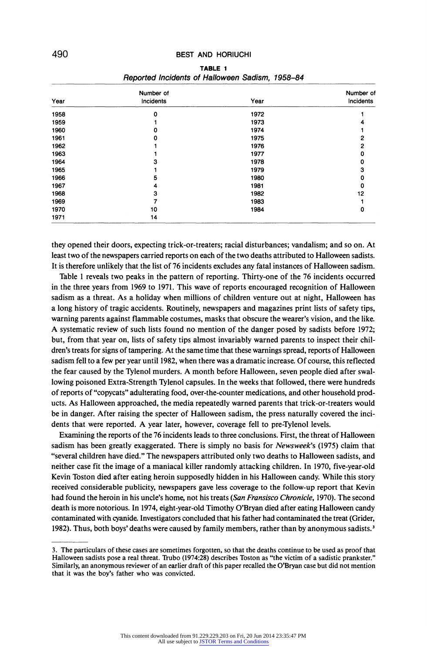|      | Number of |      | Number of<br>Incidents |
|------|-----------|------|------------------------|
| Year | Incidents | Year |                        |
| 1958 | 0         | 1972 |                        |
| 1959 |           | 1973 |                        |
| 1960 | 0         | 1974 |                        |
| 1961 | o         | 1975 | 2                      |
| 1962 |           | 1976 |                        |
| 1963 |           | 1977 |                        |
| 1964 | з         | 1978 |                        |
| 1965 |           | 1979 | я                      |
| 1966 | 5         | 1980 |                        |
| 1967 | 4         | 1981 | 0                      |
| 1968 | 3         | 1982 | 12                     |
| 1969 |           | 1983 |                        |
| 1970 | 10        | 1984 | 0                      |
| 1971 | 14        |      |                        |

| TABLE 1 |  |  |                                                 |  |  |  |  |
|---------|--|--|-------------------------------------------------|--|--|--|--|
|         |  |  | Reported Incidents of Halloween Sadism, 1958-84 |  |  |  |  |

**they opened their doors, expecting trick-or-treaters; racial disturbances; vandalism; and so on. At least two of the newspapers carried reports on each of the two deaths attributed to Halloween sadists. It is therefore unlikely that the list of 76 incidents excludes any fatal instances of Halloween sadism.** 

**Table 1 reveals two peaks in the pattern of reporting. Thirty-one of the 76 incidents occurred in the three years from 1969 to 1971. This wave of reports encouraged recognition of Halloween sadism as a threat. As a holiday when millions of children venture out at night, Halloween has a long history of tragic accidents. Routinely, newspapers and magazines print lists of safety tips, warning parents against flammable costumes, masks that obscure the wearer's vision, and the like. A systematic review of such lists found no mention of the danger posed by sadists before 1972; but, from that year on, lists of safety tips almost invariably warned parents to inspect their children's treats for signs of tampering. At the same time that these warnings spread, reports of Halloween sadism fell to a few per year until 1982, when there was a dramatic increase. Of course, this reflected the fear caused by the Tylenol murders. A month before Halloween, seven people died after swallowing poisoned Extra-Strength Tylenol capsules. In the weeks that followed, there were hundreds of reports of "copycats" adulterating food, over-the-counter medications, and other household products. As Halloween approached, the media repeatedly warned parents that trick-or-treaters would be in danger. After raising the specter of Halloween sadism, the press naturally covered the incidents that were reported. A year later, however, coverage fell to pre-Tylenol levels.** 

**Examining the reports of the 76 incidents leads to three conclusions. First, the threat of Halloween sadism has been greatly exaggerated. There is simply no basis for Newsweek's (1975) claim that "several children have died." The newspapers attributed only two deaths to Halloween sadists, and neither case fit the image of a maniacal killer randomly attacking children. In 1970, five-year-old Kevin Toston died after eating heroin supposedly hidden in his Halloween candy. While this story received considerable publicity, newspapers gave less coverage to the follow-up report that Kevin had found the heroin in his uncle's home, not his treats (San Fransisco Chronicle, 1970). The second death is more notorious. In 1974, eight-year-old Timothy O'Bryan died after eating Halloween candy contaminated with cyanide. Investigators concluded that his father had contaminated the treat (Grider, 1982). Thus, both boys' deaths were caused by family members, rather than by anonymous sadists.3** 

**<sup>3.</sup> The particulars of these cases are sometimes forgotten, so that the deaths continue to be used as proof that Halloween sadists pose a real threat. Trubo (1974:28) describes Toston as "the victim of a sadistic prankster." Similarly, an anonymous reviewer of an earlier draft of this paper recalled the O'Bryan case but did not mention that it was the boy's father who was convicted.**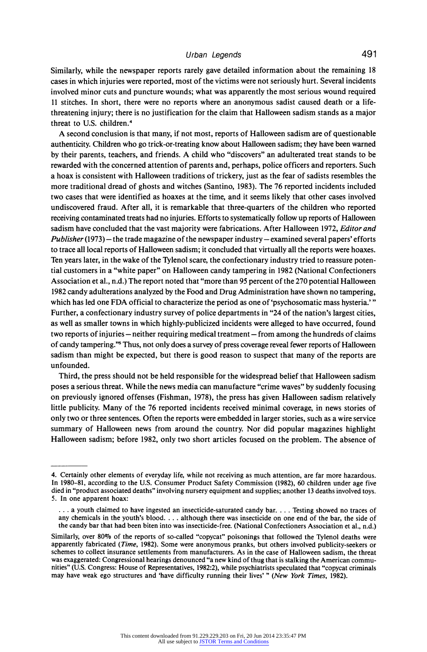# **Urban Legends 491**

**Similarly, while the newspaper reports rarely gave detailed information about the remaining 18 cases in which injuries were reported, most of the victims were not seriously hurt. Several incidents involved minor cuts and puncture wounds; what was apparently the most serious wound required 11 stitches. In short, there were no reports where an anonymous sadist caused death or a lifethreatening injury; there is no justification for the claim that Halloween sadism stands as a major threat to U.S. children.4** 

**A second conclusion is that many, if not most, reports of Halloween sadism are of questionable authenticity. Children who go trick-or-treating know about Halloween sadism; they have been warned by their parents, teachers, and friends. A child who "discovers" an adulterated treat stands to be rewarded with the concerned attention of parents and, perhaps, police officers and reporters. Such a hoax is consistent with Halloween traditions of trickery, just as the fear of sadists resembles the more traditional dread of ghosts and witches (Santino, 1983). The 76 reported incidents included two cases that were identified as hoaxes at the time, and it seems likely that other cases involved undiscovered fraud. After all, it is remarkable that three-quarters of the children who reported receiving contaminated treats had no injuries. Efforts to systematically follow up reports of Halloween sadism have concluded that the vast majority were fabrications. After Halloween 1972, Editor and**  Publisher (1973) – the trade magazine of the newspaper industry – examined several papers' efforts **to trace all local reports of Halloween sadism; it concluded that virtually all the reports were hoaxes. Ten years later, in the wake of the Tylenol scare, the confectionary industry tried to reassure potential customers in a "white paper" on Halloween candy tampering in 1982 (National Confectioners Association et al., n.d.) The report noted that "more than 95 percent of the 270 potential Halloween 1982 candy adulterations analyzed by the Food and Drug Administration have shown no tampering, which has led one FDA official to characterize the period as one of 'psychosomatic mass hysteria.' " Further, a confectionary industry survey of police departments in "24 of the nation's largest cities, as well as smaller towns in which highly-publicized incidents were alleged to have occurred, found**  two reports of injuries – neither requiring medical treatment – from among the hundreds of claims **of candy tampering."' Thus, not only does a survey of press coverage reveal fewer reports of Halloween sadism than might be expected, but there is good reason to suspect that many of the reports are unfounded.** 

**Third, the press should not be held responsible for the widespread belief that Halloween sadism poses a serious threat. While the news media can manufacture "crime waves" by suddenly focusing on previously ignored offenses (Fishman, 1978), the press has given Halloween sadism relatively little publicity. Many of the 76 reported incidents received minimal coverage, in news stories of only two or three sentences. Often the reports were embedded in larger stories, such as a wire service summary of Halloween news from around the country. Nor did popular magazines highlight Halloween sadism; before 1982, only two short articles focused on the problem. The absence of** 

**<sup>4.</sup> Certainly other elements of everyday life, while not receiving as much attention, are far more hazardous. In 1980-81, according to the U.S. Consumer Product Safety Commission (1982), 60 children under age five died in "product associated deaths" involving nursery equipment and supplies; another 13 deaths involved toys. 5. In one apparent hoax:** 

**<sup>...</sup> a youth claimed to have ingested an insecticide-saturated candy bar .... Testing showed no traces of any chemicals in the youth's blood. .. . although there was insecticide on one end of the bar, the side of the candy bar that had been biten into was insecticide-free. (National Confectioners Association et al., n.d.)** 

**Similarly, over 80% of the reports of so-called "copycat" poisonings that followed the Tylenol deaths were apparently fabricated (Time, 1982). Some were anonymous pranks, but others involved publicity-seekers or schemes to collect insurance settlements from manufacturers. As in the case of Halloween sadism, the threat was exaggerated: Congressional hearings denounced "a new kind of thug that is stalking the American communities" (U.S. Congress: House of Representatives, 1982:2), while psychiatrists speculated that "copycat criminals may have weak ego structures and 'have difficulty running their lives' " (New York Times, 1982).**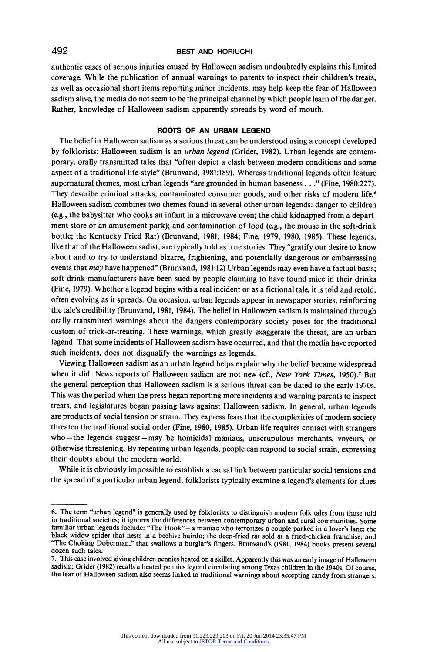**authentic cases of serious injuries caused by Halloween sadism undoubtedly explains this limited coverage. While the publication of annual warnings to parents to inspect their children's treats, as well as occasional short items reporting minor incidents, may help keep the fear of Halloween sadism alive, the media do not seem to be the principal channel by which people learn of the danger. Rather, knowledge of Halloween sadism apparently spreads by word of mouth.** 

## **ROOTS OF AN URBAN LEGEND**

**The belief in Halloween sadism as a serious threat can be understood using a concept developed by folklorists: Halloween sadism is an urban legend (Grider, 1982). Urban legends are contemporary, orally transmitted tales that "often depict a clash between modern conditions and some aspect of a traditional life-style" (Brunvand, 1981:189). Whereas traditional legends often feature supernatural themes, most urban legends "are grounded in human baseness .. ." (Fine, 1980:227). They describe criminal attacks, contaminated consumer goods, and other risks of modern life.6 Halloween sadism combines two themes found in several other urban legends: danger to children (e.g., the babysitter who cooks an infant in a microwave oven; the child kidnapped from a department store or an amusement park); and contamination of food (e.g., the mouse in the soft-drink bottle; the Kentucky Fried Rat) (Brunvand, 1981, 1984; Fine, 1979, 1980, 1985). These legends, like that of the Halloween sadist, are typically told as true stories. They "gratify our desire to know about and to try to understand bizarre, frightening, and potentially dangerous or embarrassing events that may have happened" (Brunvand, 1981:12) Urban legends may even have a factual basis; soft-drink manufacturers have been sued by people claiming to have found mice in their drinks (Fine, 1979). Whether a legend begins with a real incident or as a fictional tale, it is told and retold, often evolving as it spreads. On occasion, urban legends appear in newspaper stories, reinforcing the tale's credibility (Brunvand, 1981, 1984). The belief in Halloween sadism is maintained through orally transmitted warnings about the dangers contemporary society poses for the traditional custom of trick-or-treating. These warnings, which greatly exaggerate the threat, are an urban legend. That some incidents of Halloween sadism have occurred, and that the media have reported such incidents, does not disqualify the warnings as legends.** 

**Viewing Halloween sadism as an urban legend helps explain why the belief became widespread**  when it did. News reports of Halloween sadism are not new (cf., New York Times, 1950).<sup>7</sup> But **the general perception that Halloween sadism is a serious threat can be dated to the early 1970s. This was the period when the press began reporting more incidents and warning parents to inspect treats, and legislatures began passing laws against Halloween sadism. In general, urban legends are products of social tension or strain. They express fears that the complexities of modern society threaten the traditional social order (Fine, 1980, 1985). Urban life requires contact with strangers who-the legends suggest-may be homicidal maniacs, unscrupulous merchants, voyeurs, or otherwise threatening. By repeating urban legends, people can respond to social strain, expressing their doubts about the modern world.** 

**While it is obviously impossible to establish a causal link between particular social tensions and the spread of a particular urban legend, folklorists typically examine a legend's elements for clues** 

**<sup>6.</sup> The term "urban legend" is generally used by folklorists to distinguish modern folk tales from those told in traditional societies; it ignores the differences between contemporary urban and rural communities. Some**  familiar urban legends include: "The Hook"- a maniac who terrorizes a couple parked in a lover's lane; the **black widow spider that nests in a beehive hairdo; the deep-fried rat sold at a fried-chicken franchise; and "The Choking Doberman," that swallows a burglar's fingers. Brunvand's (1981, 1984) books present several dozen such tales.** 

**<sup>7.</sup> This case involved giving children pennies heated on a skillet. Apparently this was an early image of Halloween sadism; Grider (1982) recalls a heated pennies legend circulating among Texas children in the 1940s. Of course, the fear of Halloween sadism also seems linked to traditional warnings about accepting candy from strangers.**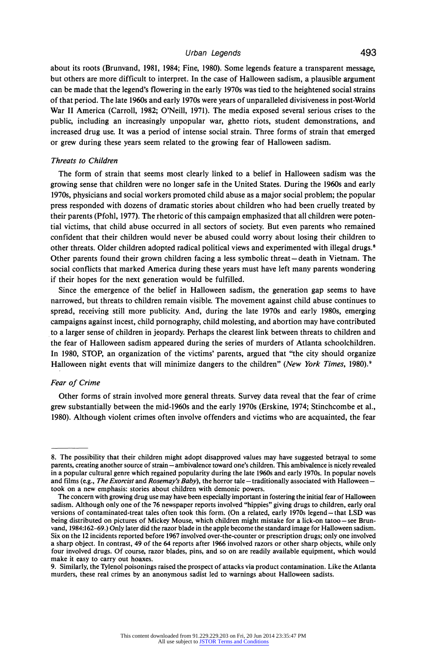## **Urban Legends 493**

**about its roots (Brunvand, 1981, 1984; Fine, 1980). Some legends feature a transparent message, but others are more difficult to interpret. In the case of Halloween sadism, a plausible argument can be made that the legend's flowering in the early 1970s was tied to the heightened social strains of that period. The late 1960s and early 1970s were years of unparalleled divisiveness in post-World War II America (Carroll, 1982; O'Neill, 1971). The media exposed several serious crises to the public, including an increasingly unpopular war, ghetto riots, student demonstrations, and increased drug use. It was a period of intense social strain. Three forms of strain that emerged or grew during these years seem related to the growing fear of Halloween sadism.** 

### **Threats to Children**

**The form of strain that seems most clearly linked to a belief in Halloween sadism was the growing sense that children were no longer safe in the United States. During the 1960s and early 1970s, physicians and social workers promoted child abuse as a major social problem; the popular press responded with dozens of dramatic stories about children who had been cruelly treated by their parents (Pfohl, 1977). The rhetoric of this campaign emphasized that all children were potential victims, that child abuse occurred in all sectors of society. But even parents who remained confident that their children would never be abused could worry about losing their children to other threats. Older children adopted radical political views and experimented with illegal drugs.8 Other parents found their grown children facing a less symbolic threat- death in Vietnam. The social conflicts that marked America during these years must have left many parents wondering if their hopes for the next generation would be fulfilled.** 

**Since the emergence of the belief in Halloween sadism, the generation gap seems to have narrowed, but threats to children remain visible. The movement against child abuse continues to spread, receiving still more publicity. And, during the late 1970s and early 1980s, emerging campaigns against incest, child pornography, child molesting, and abortion may have contributed to a larger sense of children in jeopardy. Perhaps the clearest link between threats to children and the fear of Halloween sadism appeared during the series of murders of Atlanta schoolchildren. In 1980, STOP, an organization of the victims' parents, argued that "the city should organize**  Halloween night events that will minimize dangers to the children" (New York Times, 1980).<sup>9</sup>

#### **Fear of Crime**

**Other forms of strain involved more general threats. Survey data reveal that the fear of crime grew substantially between the mid-1960s and the early 1970s (Erskine, 1974; Stinchcombe et al., 1980). Although violent crimes often involve offenders and victims who are acquainted, the fear** 

**<sup>8.</sup> The possibility that their children might adopt disapproved values may have suggested betrayal to some**  parents, creating another source of strain - ambivalence toward one's children. This ambivalence is nicely revealed **in a popular cultural genre which regained popularity during the late 1960s and early 1970s. In popular novels**  and films (e.g., *The Exorcist* and Rosemay's Baby), the horror tale - traditionally associated with Halloween **took on a new emphasis: stories about children with demonic powers.** 

**The concern with growing drug use may have been especially important in fostering the initial fear of Halloween sadism. Although only one of the 76 newspaper reports involved "hippies" giving drugs to children, early oral versions of contaminated-treat tales often took this form. (On a related, early 1970s legend - that LSD was**  being distributed on pictures of Mickey Mouse, which children might mistake for a lick-on tatoo-see Brun**vand, 1984:162-69.) Only later did the razor blade in the apple become the standard image for Halloween sadism. Six on the 12 incidents reported before 1967 involved over-the-counter or prescription drugs; only one involved a sharp object. In contrast, 49 of the 64 reports after 1966 involved razors or other sharp objects, while only four involved drugs. Of course, razor blades, pins, and so on are readily available equipment, which would make it easy to carry out hoaxes.** 

**<sup>9.</sup> Similarly, the Tylenol poisonings raised the prospect of attacks via product contamination. Like the Atlanta murders, these real crimes by an anonymous sadist led to warnings about Halloween sadists.**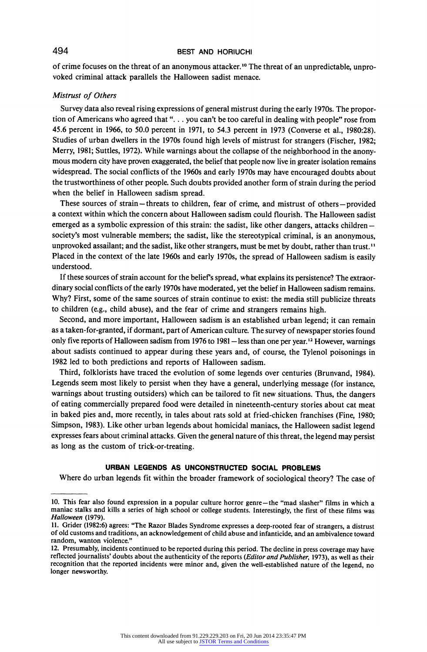**of crime focuses on the threat of an anonymous attacker."? The threat of an unpredictable, unprovoked criminal attack parallels the Halloween sadist menace.** 

### **Mistrust of Others**

**Survey data also reveal rising expressions of general mistrust during the early 1970s. The proportion of Americans who agreed that ". .. you can't be too careful in dealing with people" rose from 45.6 percent in 1966, to 50.0 percent in 1971, to 54.3 percent in 1973 (Converse et al., 1980:28). Studies of urban dwellers in the 1970s found high levels of mistrust for strangers (Fischer, 1982; Merry, 1981; Suttles, 1972). While warnings about the collapse of the neighborhood in the anonymous modern city have proven exaggerated, the belief that people now live in greater isolation remains widespread. The social conflicts of the 1960s and early 1970s may have encouraged doubts about the trustworthiness of other people. Such doubts provided another form of strain during the period when the belief in Halloween sadism spread.** 

**These sources of strain-threats to children, fear of crime, and mistrust of others-provided a context within which the concern about Halloween sadism could flourish. The Halloween sadist emerged as a symbolic expression of this strain: the sadist, like other dangers, attacks children society's most vulnerable members; the sadist, like the stereotypical criminal, is an anonymous, unprovoked assailant; and the sadist, like other strangers, must be met by doubt, rather than trust." Placed in the context of the late 1960s and early 1970s, the spread of Halloween sadism is easily understood.** 

If these sources of strain account for the belief's spread, what explains its persistence? The extraor**dinary social conflicts of the early 1970s have moderated, yet the belief in Halloween sadism remains. Why? First, some of the same sources of strain continue to exist: the media still publicize threats to children (e.g., child abuse), and the fear of crime and strangers remains high.** 

**Second, and more important, Halloween sadism is an established urban legend; it can remain as a taken-for-granted, if dormant, part of American culture. The survey of newspaper stories found**  only five reports of Halloween sadism from 1976 to 1981 - less than one per year.<sup>12</sup> However, warnings **about sadists continued to appear during these years and, of course, the Tylenol poisonings in 1982 led to both predictions and reports of Halloween sadism.** 

**Third, folklorists have traced the evolution of some legends over centuries (Brunvand, 1984). Legends seem most likely to persist when they have a general, underlying message (for instance, warnings about trusting outsiders) which can be tailored to fit new situations. Thus, the dangers of eating commercially prepared food were detailed in nineteenth-century stories about cat meat in baked pies and, more recently, in tales about rats sold at fried-chicken franchises (Fine, 1980; Simpson, 1983). Like other urban legends about homicidal maniacs, the Halloween sadist legend expresses fears about criminal attacks. Given the general nature of this threat, the legend may persist as long as the custom of trick-or-treating.** 

## **URBAN LEGENDS AS UNCONSTRUCTED SOCIAL PROBLEMS**

**Where do urban legends fit within the broader framework of sociological theory? The case of** 

**<sup>10.</sup> This fear also found expression in a popular culture horror genre-the "mad slasher" films in which a maniac stalks and kills a series of high school or college students. Interestingly, the first of these films was Halloween (1979).** 

**<sup>11.</sup> Grider (1982:6) agrees: "The Razor Blades Syndrome expresses a deep-rooted fear of strangers, a distrust of old customs and traditions, an acknowledgement of child abuse and infanticide, and an ambivalence toward random, wanton violence."** 

**<sup>12.</sup> Presumably, incidents continued to be reported during this period. The decline in press coverage may have reflected journalists' doubts about the authenticity of the reports (Editor and Publisher, 1973), as well as their recognition that the reported incidents were minor and, given the well-established nature of the legend, no longer newsworthy.**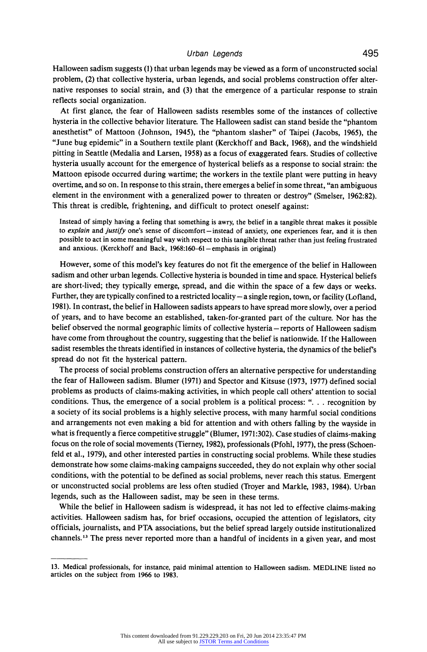**Halloween sadism suggests (1) that urban legends may be viewed as a form of unconstructed social problem, (2) that collective hysteria, urban legends, and social problems construction offer alternative responses to social strain, and (3) that the emergence of a particular response to strain reflects social organization.** 

**At first glance, the fear of Halloween sadists resembles some of the instances of collective hysteria in the collective behavior literature. The Halloween sadist can stand beside the "phantom anesthetist" of Mattoon (Johnson, 1945), the "phantom slasher" of Taipei (Jacobs, 1965), the "June bug epidemic" in a Southern textile plant (Kerckhoff and Back, 1968), and the windshield pitting in Seattle (Medalia and Larsen, 1958) as a focus of exaggerated fears. Studies of collective hysteria usually account for the emergence of hysterical beliefs as a response to social strain: the Mattoon episode occurred during wartime; the workers in the textile plant were putting in heavy overtime, and so on. In response to this strain, there emerges a belief in some threat, "an ambiguous element in the environment with a generalized power to threaten or destroy" (Smelser, 1962:82). This threat is credible, frightening, and difficult to protect oneself against:** 

**Instead of simply having a feeling that something is awry, the belief in a tangible threat makes it possible**  to explain and justify one's sense of discomfort – instead of anxiety, one experiences fear, and it is then **possible to act in some meaningful way with respect to this tangible threat rather than just feeling frustrated**  and anxious. (Kerckhoff and Back, 1968:160-61 - emphasis in original)

**However, some of this model's key features do not fit the emergence of the belief in Halloween sadism and other urban legends. Collective hysteria is bounded in time and space. Hysterical beliefs are short-lived; they typically emerge, spread, and die within the space of a few days or weeks.**  Further, they are typically confined to a restricted locality - a single region, town, or facility (Lofland, **1981). In contrast, the belief in Halloween sadists appears to have spread more slowly, over a period of years, and to have become an established, taken-for-granted part of the culture. Nor has the belief observed the normal geographic limits of collective hysteria - reports of Halloween sadism have come from throughout the country, suggesting that the belief is nationwide. If the Halloween sadist resembles the threats identified in instances of collective hysteria, the dynamics of the beliefs spread do not fit the hysterical pattern.** 

**The process of social problems construction offers an alternative perspective for understanding the fear of Halloween sadism. Blumer (1971) and Spector and Kitsuse (1973, 1977) defined social problems as products of claims-making activities, in which people call others' attention to social conditions. Thus, the emergence of a social problem is a political process: ". . . recognition by a society of its social problems is a highly selective process, with many harmful social conditions and arrangements not even making a bid for attention and with others falling by the wayside in what is frequently a fierce competitive struggle" (Blumer, 1971:302). Case studies of claims-making focus on the role of social movements (Tierney, 1982), professionals (Pfohl, 1977), the press (Schoenfeld et al., 1979), and other interested parties in constructing social problems. While these studies demonstrate how some claims-making campaigns succeeded, they do not explain why other social conditions, with the potential to be defined as social problems, never reach this status. Emergent or unconstructed social problems are less often studied (Troyer and Markle, 1983, 1984). Urban legends, such as the Halloween sadist, may be seen in these terms.** 

**While the belief in Halloween sadism is widespread, it has not led to effective claims-making activities. Halloween sadism has, for brief occasions, occupied the attention of legislators, city officials, journalists, and PTA associations, but the belief spread largely outside institutionalized channels.13 The press never reported more than a handful of incidents in a given year, and most** 

**<sup>13.</sup> Medical professionals, for instance, paid minimal attention to Halloween sadism. MEDLINE listed no articles on the subject from 1966 to 1983.**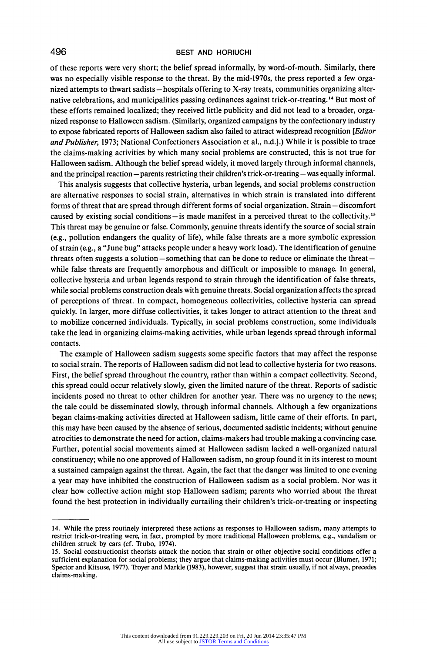**of these reports were very short; the belief spread informally, by word-of-mouth. Similarly, there was no especially visible response to the threat. By the mid-1970s, the press reported a few orga**nized attempts to thwart sadists – hospitals offering to X-ray treats, communities organizing alter**native celebrations, and municipalities passing ordinances against trick-or-treating. 14 But most of these efforts remained localized; they received little publicity and did not lead to a broader, organized response to Halloween sadism. (Similarly, organized campaigns by the confectionary industry to expose fabricated reports of Halloween sadism also failed to attract widespread recognition [Editor and Publisher, 1973; National Confectioners Association et al., n.d.].) While it is possible to trace the claims-making activities by which many social problems are constructed, this is not true for Halloween sadism. Although the belief spread widely, it moved largely through informal channels,**  and the principal reaction – parents restricting their children's trick-or-treating – was equally informal.

**This analysis suggests that collective hysteria, urban legends, and social problems construction are alternative responses to social strain, alternatives in which strain is translated into different**  forms of threat that are spread through different forms of social organization. Strain – discomfort **caused by existing social conditions-is made manifest in a perceived threat to the collectivity."' This threat may be genuine or false. Commonly, genuine threats identify the source of social strain (e.g., pollution endangers the quality of life), while false threats are a more symbolic expression of strain (e.g., a "June bug" attacks people under a heavy work load). The identification of genuine threats often suggests a solution - something that can be done to reduce or eliminate the threat while false threats are frequently amorphous and difficult or impossible to manage. In general, collective hysteria and urban legends respond to strain through the identification of false threats, while social problems construction deals with genuine threats. Social organization affects the spread of perceptions of threat. In compact, homogeneous collectivities, collective hysteria can spread quickly. In larger, more diffuse collectivities, it takes longer to attract attention to the threat and to mobilize concerned individuals. Typically, in social problems construction, some individuals take the lead in organizing claims-making activities, while urban legends spread through informal contacts.** 

**The example of Halloween sadism suggests some specific factors that may affect the response to social strain. The reports of Halloween sadism did not lead to collective hysteria for two reasons. First, the belief spread throughout the country, rather than within a compact collectivity. Second, this spread could occur relatively slowly, given the limited nature of the threat. Reports of sadistic incidents posed no threat to other children for another year. There was no urgency to the news; the tale could be disseminated slowly, through informal channels. Although a few organizations began claims-making activities directed at Halloween sadism, little came of their efforts. In part, this may have been caused by the absence of serious, documented sadistic incidents; without genuine atrocities to demonstrate the need for action, claims-makers had trouble making a convincing case. Further, potential social movements aimed at Halloween sadism lacked a well-organized natural**  constituency; while no one approved of Halloween sadism, no group found it in its interest to mount **a sustained campaign against the threat. Again, the fact that the danger was limited to one evening a year may have inhibited the construction of Halloween sadism as a social problem. Nor was it clear how collective action might stop Halloween sadism; parents who worried about the threat found the best protection in individually curtailing their children's trick-or-treating or inspecting** 

**<sup>14.</sup> While the press routinely interpreted these actions as responses to Halloween sadism, many attempts to restrict trick-or-treating were, in fact, prompted by more traditional Halloween problems, e.g., vandalism or children struck by cars (cf. Trubo, 1974).** 

<sup>15.</sup> Social constructionist theorists attack the notion that strain or other objective social conditions offer a **sufficient explanation for social problems; they argue that claims-making activities must occur (Blumer, 1971; Spector and Kitsuse, 1977). Troyer and Markle (1983), however, suggest that strain usually, if not always, precedes claims-making.**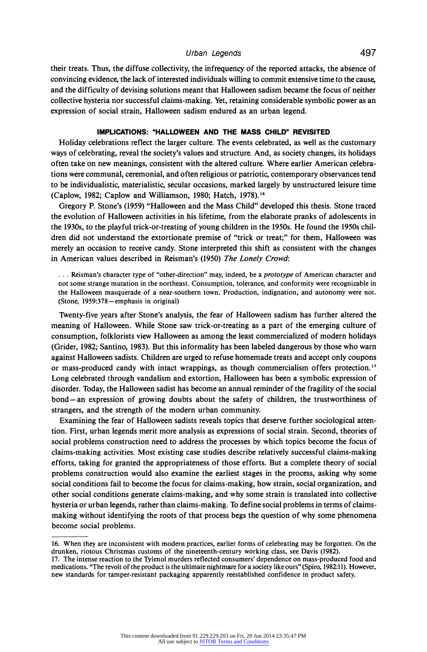## **Urban Legends 497**

**their treats. Thus, the diffuse collectivity, the infrequency of the reported attacks, the absence of convincing evidence, the lack of interested individuals willing to commit extensive time to the cause, and the difficulty of devising solutions meant that Halloween sadism became the focus of neither collective hysteria nor successful claims-making. Yet, retaining considerable symbolic power as an expression of social strain, Halloween sadism endured as an urban legend.** 

## **IMPLICATIONS: "HALLOWEEN AND THE MASS CHILD" REVISITED**

**Holiday celebrations reflect the larger culture. The events celebrated, as well as the customary ways of celebrating, reveal the society's values and structure. And, as society changes, its holidays often take on new meanings, consistent with the altered culture. Where earlier American celebrations were communal, ceremonial, and often religious or patriotic, contemporary observances tend to be individualistic, materialistic, secular occasions, marked largely by unstructured leisure time (Caplow, 1982; Caplow and Williamson, 1980; Hatch, 1978).'6** 

**Gregory P. Stone's (1959) "Halloween and the Mass Child" developed this thesis. Stone traced the evolution of Halloween activities in his lifetime, from the elaborate pranks of adolescents in the 1930s, to the playful trick-or-treating of young children in the 1950s. He found the 1950s children did not understand the extortionate premise of "trick or treat;" for them, Halloween was merely an occasion to receive candy. Stone interpreted this shift as consistent with the changes in American values described in Reisman's (1950) The Lonely Crowd:** 

**... Reisman's character type of "other-direction" may, indeed, be a prototype of American character and not some strange mutation in the northeast. Consumption, tolerance, and conformity were recognizable in the Halloween masquerade of a near-southern town. Production, indignation, and autonomy were not. (Stone, 1959:378 -emphasis in original)** 

**Twenty-five years after Stone's analysis, the fear of Halloween sadism has further altered the meaning of Halloween. While Stone saw trick-or-treating as a part of the emerging culture of consumption, folklorists view Halloween as among the least commercialized of modern holidays (Grider, 1982; Santino, 1983). But this informality has been labeled dangerous by those who warn against Halloween sadists. Children are urged to refuse homemade treats and accept only coupons or mass-produced candy with intact wrappings, as though commercialism offers protection."7 Long celebrated through vandalism and extortion, Halloween has been a symbolic expression of disorder. Today, the Halloween sadist has become an annual reminder of the fragility of the social bond-an expression of growing doubts about the safety of children, the trustworthiness of strangers, and the strength of the modern urban community.** 

**Examining the fear of Halloween sadists reveals topics that deserve further sociological attention. First, urban legends merit more analysis as expressions of social strain. Second, theories of social problems construction need to address the processes by which topics become the focus of claims-making activities. Most existing case studies describe relatively successful claims-making efforts, taking for granted the appropriateness of those efforts. But a complete theory of social problems construction would also examine the earliest stages in the process, asking why some social conditions fail to become the focus for claims-making, how strain, social organization, and other social conditions generate claims-making, and why some strain is translated into collective hysteria or urban legends, rather than claims-making. To define social problems in terms of claimsmaking without identifying the roots of that process begs the question of why some phenomena become social problems.** 

**<sup>16.</sup> When they are inconsistent with modern practices, earlier forms of celebrating may be forgotten. On the drunken, riotous Christmas customs of the nineteenth-century working class, see Davis (1982).** 

**<sup>17.</sup> The intense reaction to the Tylenol murders reflected consumers' dependence on mass-produced food and medications. "The revolt of the product is the ultimate nightmare for a society like ours" (Spiro, 1982:11). However, new standards for tamper-resistant packaging apparently reestablished confidence in product safety.**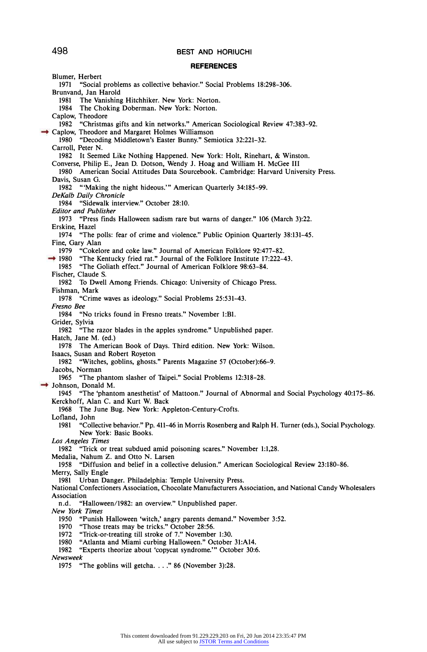#### **REFERENCES**

**Blumer, Herbert 1971 "Social problems as collective behavior." Social Problems 18:298-306. Brunvand, Jan Harold**  The Vanishing Hitchhiker. New York: Norton. **1984 The Choking Doberman. New York: Norton. Caplow, Theodore 1982 "Christmas gifts and kin networks." American Sociological Review 47:383-92. Caplow, Theodore and Margaret Holmes Williamson 1980 "Decoding Middletown's Easter Bunny." Semiotica 32:221-32. Carroll, Peter N. 1982 It Seemed Like Nothing Happened. New York: Holt, Rinehart, & Winston. Converse, Philip E., Jean D. Dotson, Wendy J. Hoag and William H. McGee III 1980 American Social Attitudes Data Sourcebook. Cambridge: Harvard University Press. Davis, Susan G. 1982 "'Making the night hideous."' American Quarterly 34:185-99. DeKalb Daily Chronicle 1984 "Sidewalk interview." October 28:10. Editor and Publisher 1973 "Press finds Halloween sadism rare but warns of danger." 106 (March 3):22. Erskine, Hazel 1974 "The polls: fear of crime and violence." Public Opinion Quarterly 38:131-45. Fine, Gary Alan 1979 "Cokelore and coke law." Journal of American Folklore 92:477-82. 1980 "The Kentucky fried rat." Journal of the Folklore Institute 17:222-43. 1985 "The Goliath effect." Journal of American Folklore 98:63-84. Fischer, Claude S. 1982 To Dwell Among Friends. Chicago: University of Chicago Press. Fishman, Mark 1978 "Crime waves as ideology." Social Problems 25:531-43. Fresno Bee 1984 "No tricks found in Fresno treats." November 1:B1. Grider, Sylvia 1982 "The razor blades in the apples syndrome." Unpublished paper. Hatch, Jane M. (ed.) 1978 The American Book of Days. Third edition. New York: Wilson. Isaacs, Susan and Robert Royeton 1982 "Witches, goblins, ghosts." Parents Magazine 57 (October):66-9. Jacobs, Norman 1965 "The phantom slasher of Taipei." Social Problems 12:318-28. Johnson, Donald M.**<br>1945 **"The 'phant**" **1945 "The 'phantom anesthetist' of Mattoon." Journal of Abnormal and Social Psychology 40:175-86. Kerckhoff, Alan C. and Kurt W. Back 1968 The June Bug. New York: Appleton-Century-Crofts. Lofland, John 1981 "Collective behavior." Pp. 411-46 in Morris Rosenberg and Ralph H. Turner (eds.), Social Psychology. New York: Basic Books. Los Angeles Times 1982 "Trick or treat subdued amid poisoning scares." November 1:1,28. Medalia, Nahum Z. and Otto N. Larsen 1958 "Diffusion and belief in a collective delusion." American Sociological Review 23:180-86. Merry, Sally Engle 1981 Urban Danger. Philadelphia: Temple University Press. National Confectioners Association, Chocolate Manufacturers Association, and National Candy Wholesalers Association n.d. "Halloween/1982: an overview." Unpublished paper. New York Times 1950 "Punish Halloween 'witch,' angry parents demand." November 3:52. 1970 "Those treats may be tricks." October 28:56. 1972 "Trick-or-treating till stroke of 7." November 1:30. 1980 "Atlanta and Miami curbing Halloween." October 31:A14. 1982 "Experts theorize about 'copycat syndrome.'" October 30:6. Newsweek 1975 "The goblins will getcha .. " 86 (November 3):28.**